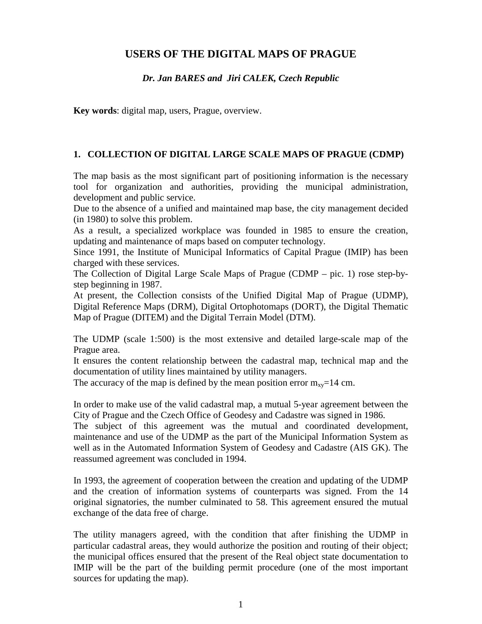# **USERS OF THE DIGITAL MAPS OF PRAGUE**

### *Dr. Jan BARES and Jiri CALEK, Czech Republic*

**Key words**: digital map, users, Prague, overview.

#### **1. COLLECTION OF DIGITAL LARGE SCALE MAPS OF PRAGUE (CDMP)**

The map basis as the most significant part of positioning information is the necessary tool for organization and authorities, providing the municipal administration, development and public service.

Due to the absence of a unified and maintained map base, the city management decided (in 1980) to solve this problem.

As a result, a specialized workplace was founded in 1985 to ensure the creation, updating and maintenance of maps based on computer technology.

Since 1991, the Institute of Municipal Informatics of Capital Prague (IMIP) has been charged with these services.

The Collection of Digital Large Scale Maps of Prague (CDMP – pic. 1) rose step-bystep beginning in 1987.

At present, the Collection consists of the Unified Digital Map of Prague (UDMP), Digital Reference Maps (DRM), Digital Ortophotomaps (DORT), the Digital Thematic Map of Prague (DITEM) and the Digital Terrain Model (DTM).

The UDMP (scale 1:500) is the most extensive and detailed large-scale map of the Prague area.

It ensures the content relationship between the cadastral map, technical map and the documentation of utility lines maintained by utility managers.

The accuracy of the map is defined by the mean position error  $m_{xy}=14$  cm.

In order to make use of the valid cadastral map, a mutual 5-year agreement between the City of Prague and the Czech Office of Geodesy and Cadastre was signed in 1986.

The subject of this agreement was the mutual and coordinated development, maintenance and use of the UDMP as the part of the Municipal Information System as well as in the Automated Information System of Geodesy and Cadastre (AIS GK). The reassumed agreement was concluded in 1994.

In 1993, the agreement of cooperation between the creation and updating of the UDMP and the creation of information systems of counterparts was signed. From the 14 original signatories, the number culminated to 58. This agreement ensured the mutual exchange of the data free of charge.

The utility managers agreed, with the condition that after finishing the UDMP in particular cadastral areas, they would authorize the position and routing of their object; the municipal offices ensured that the present of the Real object state documentation to IMIP will be the part of the building permit procedure (one of the most important sources for updating the map).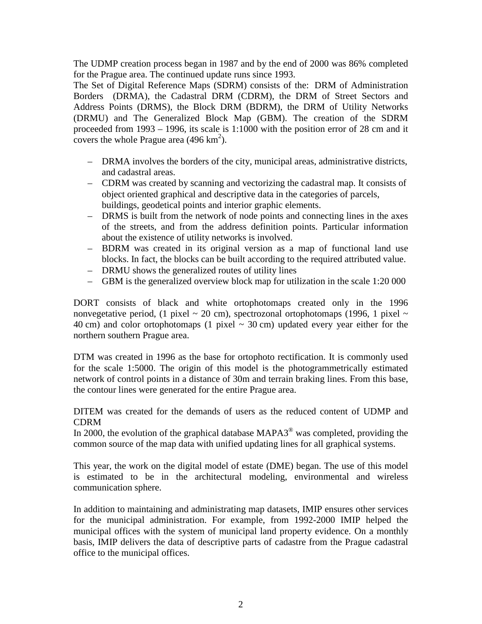The UDMP creation process began in 1987 and by the end of 2000 was 86% completed for the Prague area. The continued update runs since 1993.

The Set of Digital Reference Maps (SDRM) consists of the: DRM of Administration Borders (DRMA), the Cadastral DRM (CDRM), the DRM of Street Sectors and Address Points (DRMS), the Block DRM (BDRM), the DRM of Utility Networks (DRMU) and The Generalized Block Map (GBM). The creation of the SDRM proceeded from 1993 – 1996, its scale is 1:1000 with the position error of 28 cm and it covers the whole Prague area  $(496 \text{ km}^2)$ .

- DRMA involves the borders of the city, municipal areas, administrative districts, and cadastral areas.
- CDRM was created by scanning and vectorizing the cadastral map. It consists of object oriented graphical and descriptive data in the categories of parcels, buildings, geodetical points and interior graphic elements.
- DRMS is built from the network of node points and connecting lines in the axes of the streets, and from the address definition points. Particular information about the existence of utility networks is involved.
- BDRM was created in its original version as a map of functional land use blocks. In fact, the blocks can be built according to the required attributed value.
- DRMU shows the generalized routes of utility lines
- GBM is the generalized overview block map for utilization in the scale 1:20 000

DORT consists of black and white ortophotomaps created only in the 1996 nonvegetative period, (1 pixel  $\sim$  20 cm), spectrozonal ortophotomaps (1996, 1 pixel  $\sim$ 40 cm) and color ortophotomaps (1 pixel  $\sim$  30 cm) updated every year either for the northern southern Prague area.

DTM was created in 1996 as the base for ortophoto rectification. It is commonly used for the scale 1:5000. The origin of this model is the photogrammetrically estimated network of control points in a distance of 30m and terrain braking lines. From this base, the contour lines were generated for the entire Prague area.

DITEM was created for the demands of users as the reduced content of UDMP and CDRM

In 2000, the evolution of the graphical database MAPA3® was completed, providing the common source of the map data with unified updating lines for all graphical systems.

This year, the work on the digital model of estate (DME) began. The use of this model is estimated to be in the architectural modeling, environmental and wireless communication sphere.

In addition to maintaining and administrating map datasets, IMIP ensures other services for the municipal administration. For example, from 1992-2000 IMIP helped the municipal offices with the system of municipal land property evidence. On a monthly basis, IMIP delivers the data of descriptive parts of cadastre from the Prague cadastral office to the municipal offices.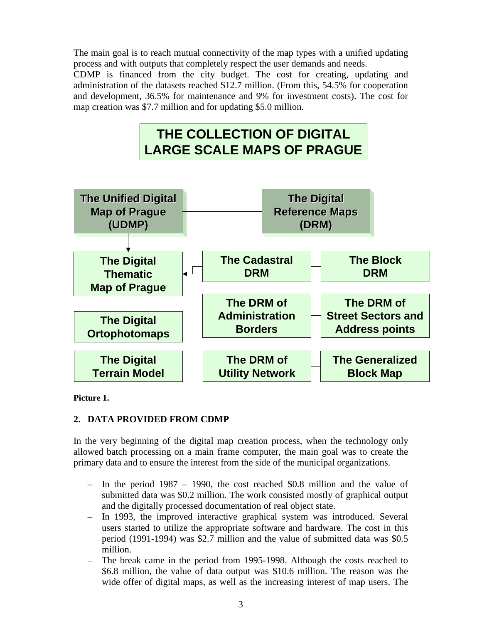The main goal is to reach mutual connectivity of the map types with a unified updating process and with outputs that completely respect the user demands and needs.

CDMP is financed from the city budget. The cost for creating, updating and administration of the datasets reached \$12.7 million. (From this, 54.5% for cooperation and development, 36.5% for maintenance and 9% for investment costs). The cost for map creation was \$7.7 million and for updating \$5.0 million.

# **THE COLLECTION OF DIGITAL LARGE SCALE MAPS OF PRAGUE**



**Picture 1.**

# **2. DATA PROVIDED FROM CDMP**

In the very beginning of the digital map creation process, when the technology only allowed batch processing on a main frame computer, the main goal was to create the primary data and to ensure the interest from the side of the municipal organizations.

- In the period 1987 1990, the cost reached \$0.8 million and the value of submitted data was \$0.2 million. The work consisted mostly of graphical output and the digitally processed documentation of real object state.
- In 1993, the improved interactive graphical system was introduced. Several users started to utilize the appropriate software and hardware. The cost in this period (1991-1994) was \$2.7 million and the value of submitted data was \$0.5 million.
- The break came in the period from 1995-1998. Although the costs reached to \$6.8 million, the value of data output was \$10.6 million. The reason was the wide offer of digital maps, as well as the increasing interest of map users. The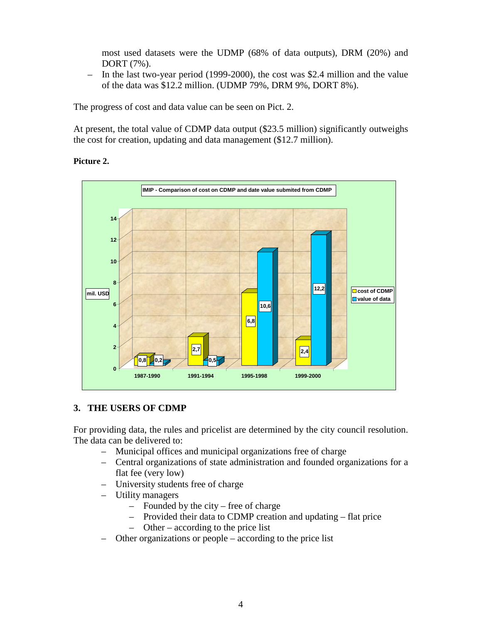most used datasets were the UDMP (68% of data outputs), DRM (20%) and DORT (7%).

– In the last two-year period (1999-2000), the cost was \$2.4 million and the value of the data was \$12.2 million. (UDMP 79%, DRM 9%, DORT 8%).

The progress of cost and data value can be seen on Pict. 2.

At present, the total value of CDMP data output (\$23.5 million) significantly outweighs the cost for creation, updating and data management (\$12.7 million).

#### **Picture 2.**



## **3. THE USERS OF CDMP**

For providing data, the rules and pricelist are determined by the city council resolution. The data can be delivered to:

- Municipal offices and municipal organizations free of charge
- Central organizations of state administration and founded organizations for a flat fee (very low)
- University students free of charge
- Utility managers
	- Founded by the city free of charge
	- Provided their data to CDMP creation and updating flat price
	- Other according to the price list
- Other organizations or people according to the price list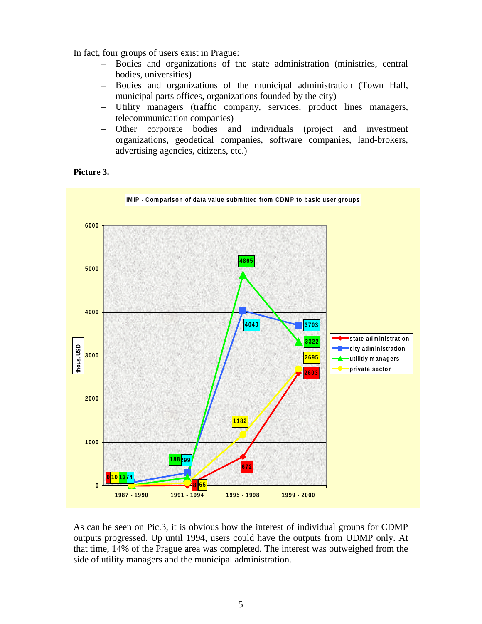In fact, four groups of users exist in Prague:

- Bodies and organizations of the state administration (ministries, central bodies, universities)
- Bodies and organizations of the municipal administration (Town Hall, municipal parts offices, organizations founded by the city)
- Utility managers (traffic company, services, product lines managers, telecommunication companies)
- Other corporate bodies and individuals (project and investment organizations, geodetical companies, software companies, land-brokers, advertising agencies, citizens, etc.)





As can be seen on Pic.3, it is obvious how the interest of individual groups for CDMP outputs progressed. Up until 1994, users could have the outputs from UDMP only. At that time, 14% of the Prague area was completed. The interest was outweighed from the side of utility managers and the municipal administration.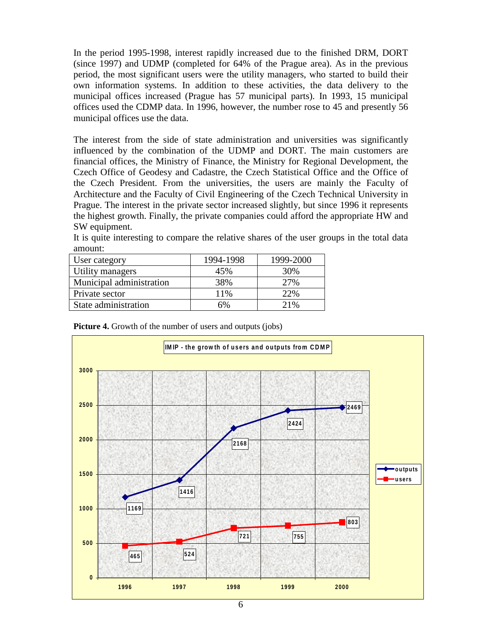In the period 1995-1998, interest rapidly increased due to the finished DRM, DORT (since 1997) and UDMP (completed for 64% of the Prague area). As in the previous period, the most significant users were the utility managers, who started to build their own information systems. In addition to these activities, the data delivery to the municipal offices increased (Prague has 57 municipal parts). In 1993, 15 municipal offices used the CDMP data. In 1996, however, the number rose to 45 and presently 56 municipal offices use the data.

The interest from the side of state administration and universities was significantly influenced by the combination of the UDMP and DORT. The main customers are financial offices, the Ministry of Finance, the Ministry for Regional Development, the Czech Office of Geodesy and Cadastre, the Czech Statistical Office and the Office of the Czech President. From the universities, the users are mainly the Faculty of Architecture and the Faculty of Civil Engineering of the Czech Technical University in Prague. The interest in the private sector increased slightly, but since 1996 it represents the highest growth. Finally, the private companies could afford the appropriate HW and SW equipment.

| It is quite interesting to compare the relative shares of the user groups in the total data |          |          |  |
|---------------------------------------------------------------------------------------------|----------|----------|--|
| amount:                                                                                     |          |          |  |
| $\mathbf{I}$ $\mathbf{I}$                                                                   | 10011000 | 1000.200 |  |

| User category            | 1994-1998 | 1999-2000 |
|--------------------------|-----------|-----------|
| Utility managers         | 45%       | 30%       |
| Municipal administration | 38%       | 27%       |
| Private sector           | 11%       | 22%       |
| State administration     | 6%        | 21%       |

| <b>Picture 4.</b> Growth of the number of users and outputs (jobs) |  |  |  |  |
|--------------------------------------------------------------------|--|--|--|--|
|                                                                    |  |  |  |  |